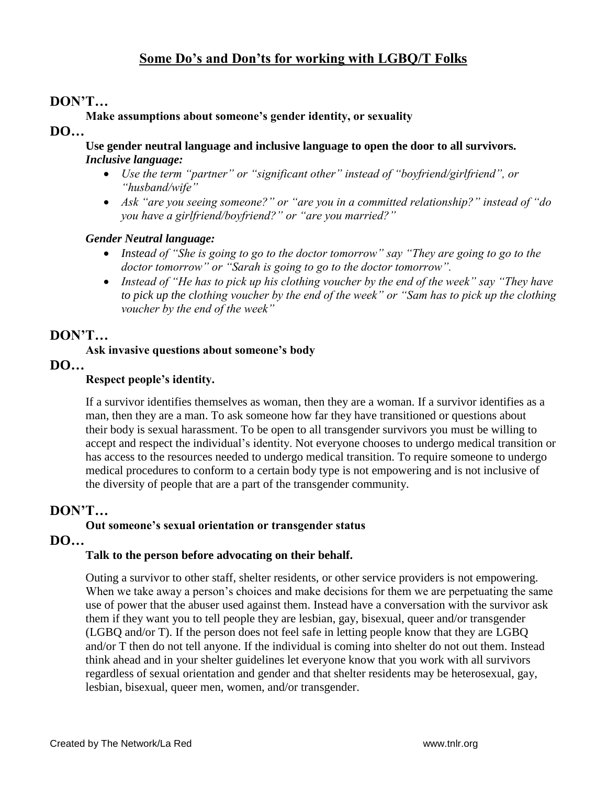# **DON"T…**

### **Make assumptions about someone"s gender identity, or sexuality**

**DO…**

**Use gender neutral language and inclusive language to open the door to all survivors.**  *Inclusive language:*

- *Use the term "partner" or "significant other" instead of "boyfriend/girlfriend", or "husband/wife"*
- *Ask "are you seeing someone?" or "are you in a committed relationship?" instead of "do you have a girlfriend/boyfriend?" or "are you married?"*

## *Gender Neutral language:*

- *Instead of "She is going to go to the doctor tomorrow" say "They are going to go to the doctor tomorrow" or "Sarah is going to go to the doctor tomorrow".*
- *Instead of "He has to pick up his clothing voucher by the end of the week" say "They have to pick up the clothing voucher by the end of the week" or "Sam has to pick up the clothing voucher by the end of the week"*

# **DON"T…**

### **Ask invasive questions about someone"s body**

**DO…**

## **Respect people"s identity.**

If a survivor identifies themselves as woman, then they are a woman. If a survivor identifies as a man, then they are a man. To ask someone how far they have transitioned or questions about their body is sexual harassment. To be open to all transgender survivors you must be willing to accept and respect the individual's identity. Not everyone chooses to undergo medical transition or has access to the resources needed to undergo medical transition. To require someone to undergo medical procedures to conform to a certain body type is not empowering and is not inclusive of the diversity of people that are a part of the transgender community.

# **DON"T…**

## **Out someone"s sexual orientation or transgender status**

## **DO…**

#### **Talk to the person before advocating on their behalf.**

Outing a survivor to other staff, shelter residents, or other service providers is not empowering. When we take away a person's choices and make decisions for them we are perpetuating the same use of power that the abuser used against them. Instead have a conversation with the survivor ask them if they want you to tell people they are lesbian, gay, bisexual, queer and/or transgender (LGBQ and/or T). If the person does not feel safe in letting people know that they are LGBQ and/or T then do not tell anyone. If the individual is coming into shelter do not out them. Instead think ahead and in your shelter guidelines let everyone know that you work with all survivors regardless of sexual orientation and gender and that shelter residents may be heterosexual, gay, lesbian, bisexual, queer men, women, and/or transgender.